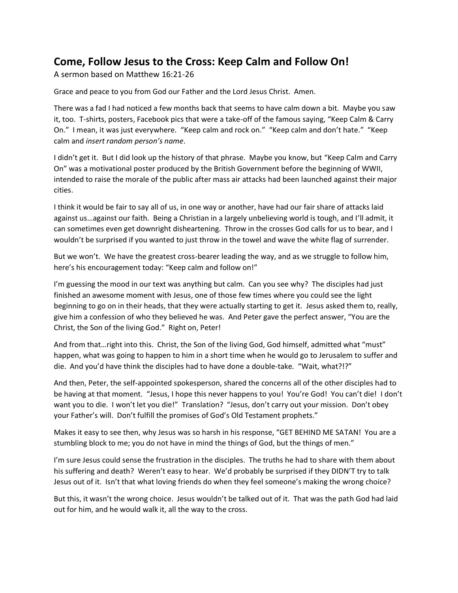## **Come, Follow Jesus to the Cross: Keep Calm and Follow On!**

A sermon based on Matthew 16:21-26

Grace and peace to you from God our Father and the Lord Jesus Christ. Amen.

There was a fad I had noticed a few months back that seems to have calm down a bit. Maybe you saw it, too. T-shirts, posters, Facebook pics that were a take-off of the famous saying, "Keep Calm & Carry On." I mean, it was just everywhere. "Keep calm and rock on." "Keep calm and don't hate." "Keep calm and *insert random person's name*.

I didn't get it. But I did look up the history of that phrase. Maybe you know, but "Keep Calm and Carry On" was a motivational poster produced by the British Government before the beginning of WWII, intended to raise the morale of the public after mass air attacks had been launched against their major cities.

I think it would be fair to say all of us, in one way or another, have had our fair share of attacks laid against us…against our faith. Being a Christian in a largely unbelieving world is tough, and I'll admit, it can sometimes even get downright disheartening. Throw in the crosses God calls for us to bear, and I wouldn't be surprised if you wanted to just throw in the towel and wave the white flag of surrender.

But we won't. We have the greatest cross-bearer leading the way, and as we struggle to follow him, here's his encouragement today: "Keep calm and follow on!"

I'm guessing the mood in our text was anything but calm. Can you see why? The disciples had just finished an awesome moment with Jesus, one of those few times where you could see the light beginning to go on in their heads, that they were actually starting to get it. Jesus asked them to, really, give him a confession of who they believed he was. And Peter gave the perfect answer, "You are the Christ, the Son of the living God." Right on, Peter!

And from that…right into this. Christ, the Son of the living God, God himself, admitted what "must" happen, what was going to happen to him in a short time when he would go to Jerusalem to suffer and die. And you'd have think the disciples had to have done a double-take. "Wait, what?!?"

And then, Peter, the self-appointed spokesperson, shared the concerns all of the other disciples had to be having at that moment. "Jesus, I hope this never happens to you! You're God! You can't die! I don't want you to die. I won't let you die!" Translation? "Jesus, don't carry out your mission. Don't obey your Father's will. Don't fulfill the promises of God's Old Testament prophets."

Makes it easy to see then, why Jesus was so harsh in his response, "GET BEHIND ME SATAN! You are a stumbling block to me; you do not have in mind the things of God, but the things of men."

I'm sure Jesus could sense the frustration in the disciples. The truths he had to share with them about his suffering and death? Weren't easy to hear. We'd probably be surprised if they DIDN'T try to talk Jesus out of it. Isn't that what loving friends do when they feel someone's making the wrong choice?

But this, it wasn't the wrong choice. Jesus wouldn't be talked out of it. That was the path God had laid out for him, and he would walk it, all the way to the cross.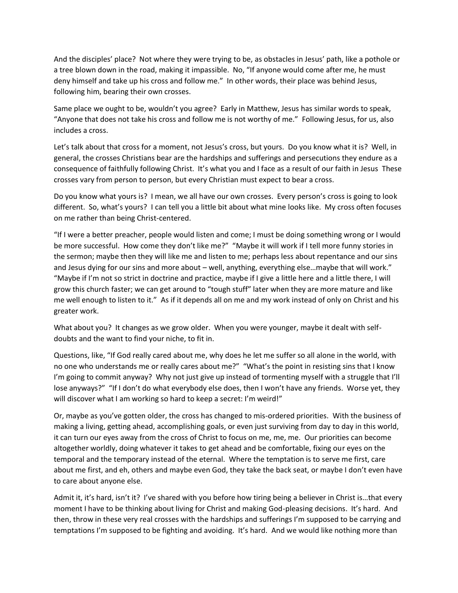And the disciples' place? Not where they were trying to be, as obstacles in Jesus' path, like a pothole or a tree blown down in the road, making it impassible. No, "If anyone would come after me, he must deny himself and take up his cross and follow me." In other words, their place was behind Jesus, following him, bearing their own crosses.

Same place we ought to be, wouldn't you agree? Early in Matthew, Jesus has similar words to speak, "Anyone that does not take his cross and follow me is not worthy of me." Following Jesus, for us, also includes a cross.

Let's talk about that cross for a moment, not Jesus's cross, but yours. Do you know what it is? Well, in general, the crosses Christians bear are the hardships and sufferings and persecutions they endure as a consequence of faithfully following Christ. It's what you and I face as a result of our faith in Jesus These crosses vary from person to person, but every Christian must expect to bear a cross.

Do you know what yours is? I mean, we all have our own crosses. Every person's cross is going to look different. So, what's yours? I can tell you a little bit about what mine looks like. My cross often focuses on me rather than being Christ-centered.

"If I were a better preacher, people would listen and come; I must be doing something wrong or I would be more successful. How come they don't like me?" "Maybe it will work if I tell more funny stories in the sermon; maybe then they will like me and listen to me; perhaps less about repentance and our sins and Jesus dying for our sins and more about – well, anything, everything else…maybe that will work." "Maybe if I'm not so strict in doctrine and practice, maybe if I give a little here and a little there, I will grow this church faster; we can get around to "tough stuff" later when they are more mature and like me well enough to listen to it." As if it depends all on me and my work instead of only on Christ and his greater work.

What about you? It changes as we grow older. When you were younger, maybe it dealt with selfdoubts and the want to find your niche, to fit in.

Questions, like, "If God really cared about me, why does he let me suffer so all alone in the world, with no one who understands me or really cares about me?" "What's the point in resisting sins that I know I'm going to commit anyway? Why not just give up instead of tormenting myself with a struggle that I'll lose anyways?" "If I don't do what everybody else does, then I won't have any friends. Worse yet, they will discover what I am working so hard to keep a secret: I'm weird!"

Or, maybe as you've gotten older, the cross has changed to mis-ordered priorities. With the business of making a living, getting ahead, accomplishing goals, or even just surviving from day to day in this world, it can turn our eyes away from the cross of Christ to focus on me, me, me. Our priorities can become altogether worldly, doing whatever it takes to get ahead and be comfortable, fixing our eyes on the temporal and the temporary instead of the eternal. Where the temptation is to serve me first, care about me first, and eh, others and maybe even God, they take the back seat, or maybe I don't even have to care about anyone else.

Admit it, it's hard, isn't it? I've shared with you before how tiring being a believer in Christ is…that every moment I have to be thinking about living for Christ and making God-pleasing decisions. It's hard. And then, throw in these very real crosses with the hardships and sufferings I'm supposed to be carrying and temptations I'm supposed to be fighting and avoiding. It's hard. And we would like nothing more than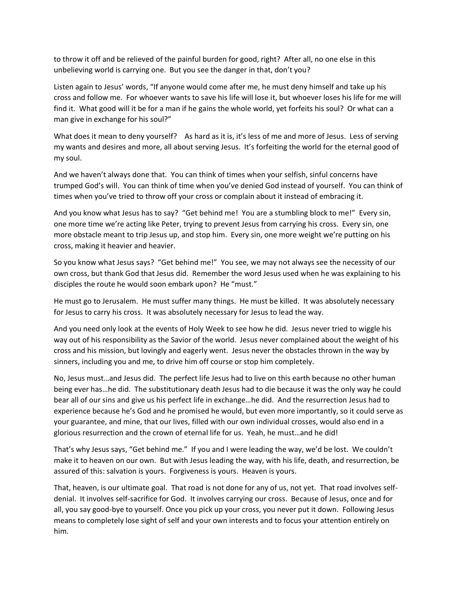to throw it off and be relieved of the painful burden for good, right? After all, no one else in this unbelieving world is carrying one. But you see the danger in that, don't you?

Listen again to Jesus' words, "If anyone would come after me, he must deny himself and take up his cross and follow me. For whoever wants to save his life will lose it, but whoever loses his life for me will find it. What good will it be for a man if he gains the whole world, yet forfeits his soul? Or what can a man give in exchange for his soul?"

What does it mean to deny yourself? As hard as it is, it's less of me and more of Jesus. Less of serving my wants and desires and more, all about serving Jesus. It's forfeiting the world for the eternal good of my soul.

And we haven't always done that. You can think of times when your selfish, sinful concerns have trumped God's will. You can think of time when you've denied God instead of yourself. You can think of times when you've tried to throw off your cross or complain about it instead of embracing it.

And you know what Jesus has to say? "Get behind me! You are a stumbling block to me!" Every sin, one more time we're acting like Peter, trying to prevent Jesus from carrying his cross. Every sin, one more obstacle meant to trip Jesus up, and stop him. Every sin, one more weight we're putting on his cross, making it heavier and heavier.

So you know what Jesus says? "Get behind me!" You see, we may not always see the necessity of our own cross, but thank God that Jesus did. Remember the word Jesus used when he was explaining to his disciples the route he would soon embark upon? He "must."

He must go to Jerusalem. He must suffer many things. He must be killed. It was absolutely necessary for Jesus to carry his cross. It was absolutely necessary for Jesus to lead the way.

And you need only look at the events of Holy Week to see how he did. Jesus never tried to wiggle his way out of his responsibility as the Savior of the world. Jesus never complained about the weight of his cross and his mission, but lovingly and eagerly went. Jesus never the obstacles thrown in the way by sinners, including you and me, to drive him off course or stop him completely.

No, Jesus must…and Jesus did. The perfect life Jesus had to live on this earth because no other human being ever has…he did. The substitutionary death Jesus had to die because it was the only way he could bear all of our sins and give us his perfect life in exchange…he did. And the resurrection Jesus had to experience because he's God and he promised he would, but even more importantly, so it could serve as your guarantee, and mine, that our lives, filled with our own individual crosses, would also end in a glorious resurrection and the crown of eternal life for us. Yeah, he must…and he did!

That's why Jesus says, "Get behind me." If you and I were leading the way, we'd be lost. We couldn't make it to heaven on our own. But with Jesus leading the way, with his life, death, and resurrection, be assured of this: salvation is yours. Forgiveness is yours. Heaven is yours.

That, heaven, is our ultimate goal. That road is not done for any of us, not yet. That road involves selfdenial. It involves self-sacrifice for God. It involves carrying our cross. Because of Jesus, once and for all, you say good-bye to yourself. Once you pick up your cross, you never put it down. Following Jesus means to completely lose sight of self and your own interests and to focus your attention entirely on him.